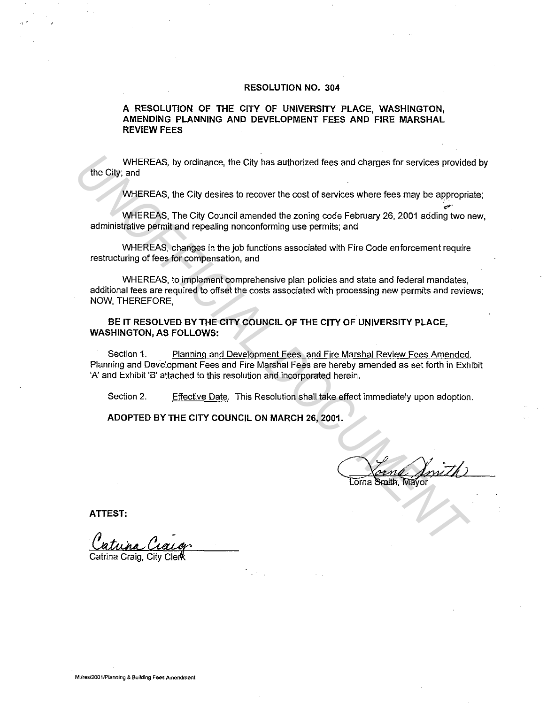#### **RESOLUTION NO. 304**

### **A RESOLUTION OF THE CITY OF UNIVERSITY PLACE, WASHINGTON, AMENDING PLANNING AND DEVELOPMENT FEES AND FIRE MARSHAL REVIEW FEES**

WHEREAS, by ordinance, the City has authorized fees and charges for services provided by the City; and

WHEREAS, the City desires to recover the cost of services where fees may be appropriate;

•"" WHEREAS, The City Council amended the zoning code February 26, 2001 adding two new, administrative permit and repealing nonconforming use permits; and

WHEREAS, changes in the job functions associated with Fire Code enforcement require restructuring of fees for compensation, and

WHEREAS, to implement comprehensive plan policies and state and federal mandates, additional fees are required to offset the costs associated with processing new permits and reviews; NOW, THEREFORE, WHEREAS, by ordinance, the City has authorized fees and charges for services provide<br> **UNOFFICEAS**, the City desires to recover the cost of services where fees may be appropriated<br>
WHEREAS, the City Council amended the zon

**BE IT RESOLVED BY THE CITY COUNCIL OF THE CITY OF UNIVERSITY PLACE, WASHINGTON, AS FOLLOWS:** 

Section 1. Planning and Development Fees and Fire Marshal Review Fees Amended. Planning and Development Fees and Fire Marshal Fees are hereby amended as set forth in Exhibit 'A' and Exhibit 'B' attached to this resolution and incorporated herein.

Section 2. Effective Date. This Resolution shall take effect immediately upon adoption.

**ADOPTED BY THE CITY COUNCIL ON MARCH 26, 2001.** 

**ATTEST:** 

., .•

Catrina Craig, City Cler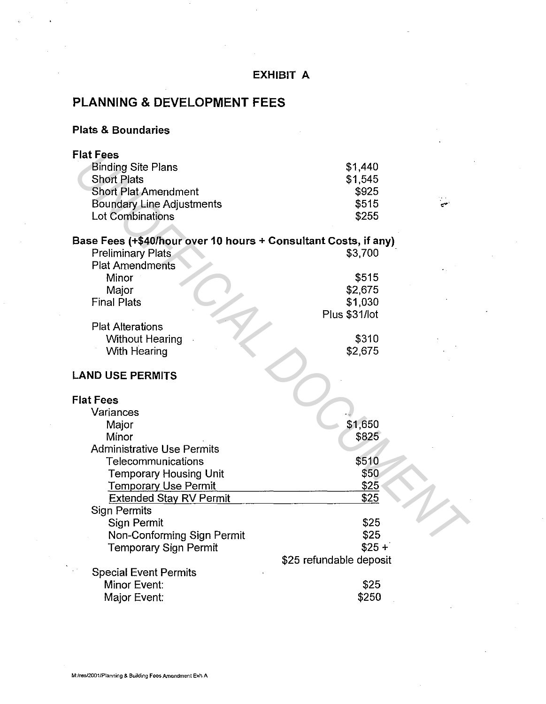| EXHIBIT A                                                       |                                    |  |
|-----------------------------------------------------------------|------------------------------------|--|
| <b>PLANNING &amp; DEVELOPMENT FEES</b>                          |                                    |  |
| <b>Plats &amp; Boundaries</b>                                   |                                    |  |
| <b>Flat Fees</b>                                                |                                    |  |
| <b>Binding Site Plans</b>                                       | \$1,440                            |  |
| <b>Short Plats</b>                                              | \$1,545                            |  |
| <b>Short Plat Amendment</b>                                     | \$925                              |  |
| <b>Boundary Line Adjustments</b>                                | \$515                              |  |
| <b>Lot Combinations</b>                                         | \$255                              |  |
|                                                                 |                                    |  |
| Base Fees (+\$40/hour over 10 hours + Consultant Costs, if any) |                                    |  |
| <b>Preliminary Plats</b>                                        | \$3,700                            |  |
| <b>Plat Amendments</b>                                          |                                    |  |
| Minor                                                           | \$515                              |  |
| Major<br><b>Final Plats</b>                                     | \$2,675                            |  |
|                                                                 | \$1,030<br>Plus \$31/lot           |  |
| <b>Plat Alterations</b>                                         |                                    |  |
| <b>Without Hearing</b>                                          | \$310                              |  |
| With Hearing                                                    | \$2,675                            |  |
|                                                                 |                                    |  |
| <b>LAND USE PERMITS</b>                                         |                                    |  |
|                                                                 |                                    |  |
| <b>Flat Fees</b>                                                |                                    |  |
| Variances                                                       |                                    |  |
| Major                                                           | \$1,650                            |  |
| Minor                                                           | \$825                              |  |
| <b>Administrative Use Permits</b>                               |                                    |  |
| Telecommunications                                              | \$510                              |  |
| <b>Temporary Housing Unit</b>                                   | \$50                               |  |
| <b>Temporary Use Permit</b>                                     | <u>\$25</u>                        |  |
| <b>Extended Stay RV Permit</b>                                  | \$25                               |  |
| <b>Sign Permits</b>                                             |                                    |  |
| Sign Permit                                                     | \$25                               |  |
| Non-Conforming Sign Permit                                      | \$25                               |  |
| <b>Temporary Sign Permit</b>                                    | $$25 +$<br>\$25 refundable deposit |  |
| <b>Special Event Permits</b>                                    |                                    |  |
| Minor Event:                                                    | \$25                               |  |
| Major Event:                                                    | \$250                              |  |
|                                                                 |                                    |  |

### **EXHIBIT A**

 $\overline{a}$ 

J.

 $\ddot{\phantom{a}}$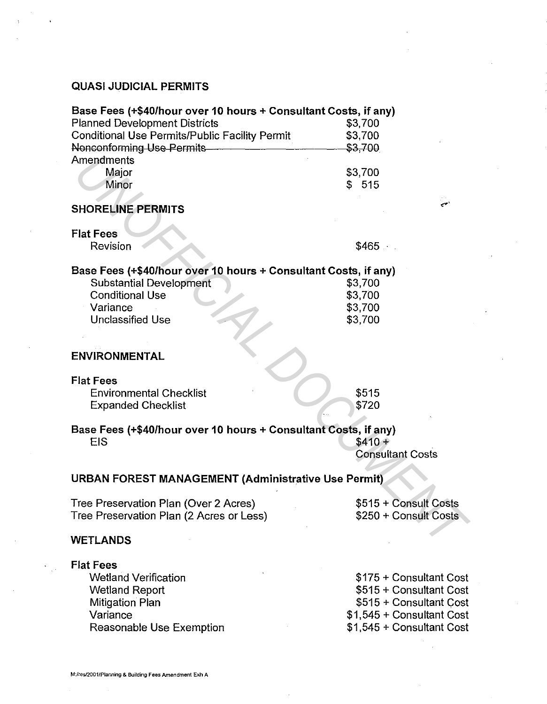# QUASI JUDICIAL PERMITS

| Base Fees (+\$40/hour over 10 hours + Consultant Costs, if any) |         |  |
|-----------------------------------------------------------------|---------|--|
| <b>Planned Development Districts</b>                            | \$3,700 |  |
| Conditional Use Permits/Public Facility Permit                  | \$3,700 |  |
| Nonconforming Use Permits                                       | \$3.700 |  |
| Amendments                                                      |         |  |
| Major                                                           | \$3,700 |  |
| Minor                                                           | \$515   |  |
|                                                                 |         |  |

# SHORELINE PERMITS

Flat Fees

# Base Fees (+\$40/hour over 10 hours+ Consultant Costs, if any)

| Amendments                                                      |                         |  |  |
|-----------------------------------------------------------------|-------------------------|--|--|
| Major                                                           | \$3,700                 |  |  |
| Minor                                                           | \$515                   |  |  |
|                                                                 |                         |  |  |
| <b>SHORELINE PERMITS</b>                                        | العبي                   |  |  |
| <b>Elat Fees</b>                                                |                         |  |  |
| Revision                                                        | \$465                   |  |  |
| 3ase Fees (+\$40/hour over 10 hours + Consultant Costs, if any) |                         |  |  |
| <b>Substantial Development</b>                                  | \$3,700                 |  |  |
| <b>Conditional Use</b>                                          | \$3,700                 |  |  |
| Variance                                                        | \$3,700                 |  |  |
| <b>Unclassified Use</b>                                         | \$3,700                 |  |  |
|                                                                 |                         |  |  |
|                                                                 |                         |  |  |
| ENVIRONMENTAL                                                   |                         |  |  |
| lat Fees                                                        |                         |  |  |
|                                                                 |                         |  |  |
| <b>Environmental Checklist</b>                                  | \$515                   |  |  |
| <b>Expanded Checklist</b>                                       | \$720                   |  |  |
| Base Fees (+\$40/hour over 10 hours + Consultant Costs, if any) |                         |  |  |
| <b>EIS</b>                                                      | $$410 +$                |  |  |
|                                                                 | <b>Consultant Costs</b> |  |  |
|                                                                 |                         |  |  |
| <b>JRBAN FOREST MANAGEMENT (Administrative Use Permit)</b>      |                         |  |  |
| Tree Preservation Plan (Over 2 Acres)                           | \$515 + Consult Costs   |  |  |
| Free Preservation Plan (2 Acres or Less)                        | \$250 + Consult Costs   |  |  |
|                                                                 |                         |  |  |
| VETLANDS                                                        |                         |  |  |
|                                                                 |                         |  |  |

### ENVIRONMENTAL

# Flat Fees

# Base Fees (+\$40/hour over 10 hours+ Consultant Costs, if any)  $EIS$  \$410 +

### URBAN FOREST MANAGEMENT (Administrative Use Permit)

#### WETLANDS

### Flat Fees

Wetland Verification Wetland Report Mitigation Plan Variance Reasonable Use Exemption

\$175 +Consultant Cost \$515 +Consultant Cost \$515 + Consultant Cost \$1,545 +Consultant Cost \$1,545 +Consultant Cost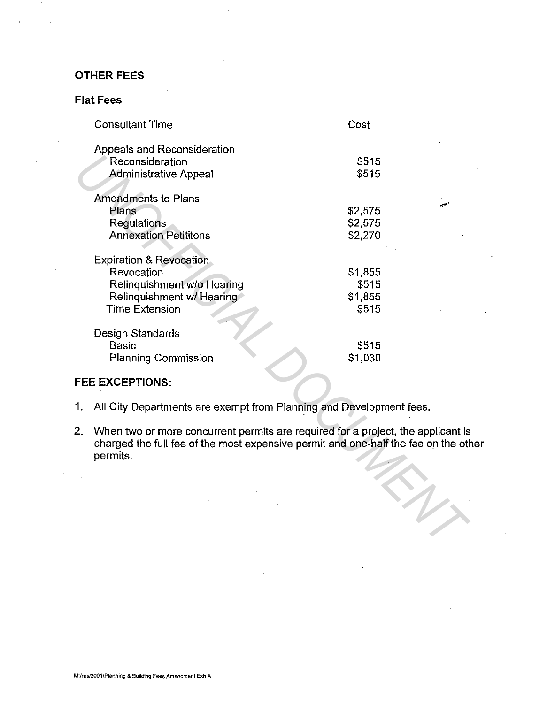# **OTHER FEES**

# **Flat Fees**

|    | <b>Consultant Time</b>                                                                                                                                                            | Cost                                 |  |
|----|-----------------------------------------------------------------------------------------------------------------------------------------------------------------------------------|--------------------------------------|--|
|    | Appeals and Reconsideration<br>Reconsideration<br><b>Administrative Appeal</b>                                                                                                    | \$515<br>\$515                       |  |
|    | <b>Amendments to Plans</b><br>Plans<br>Regulations<br><b>Annexation Petititons</b>                                                                                                | \$2,575<br>\$2,575<br>\$2,270        |  |
|    | <b>Expiration &amp; Revocation</b><br>Revocation<br>Relinquishment w/o Hearing<br>Relinquishment w/ Hearing<br><b>Time Extension</b>                                              | \$1,855<br>\$515<br>\$1,855<br>\$515 |  |
|    | Design Standards<br><b>Basic</b><br><b>Planning Commission</b>                                                                                                                    | \$515<br>\$1,030                     |  |
|    | <b>FEE EXCEPTIONS:</b>                                                                                                                                                            |                                      |  |
| 1. | All City Departments are exempt from Planning and Development fees.                                                                                                               |                                      |  |
| 2. | When two or more concurrent permits are required for a project, the applicant is<br>charged the full fee of the most expensive permit and one-half the fee on the oth<br>permits. |                                      |  |
|    |                                                                                                                                                                                   |                                      |  |
|    |                                                                                                                                                                                   |                                      |  |

# **FEE EXCEPTIONS:**

- 1. All City Departments are exempt from Planning and Development fees.
- 2. When two or more concurrent permits are required for a project, the applicant is charged the full fee of the most expensive permit and one-half the fee on the other permits.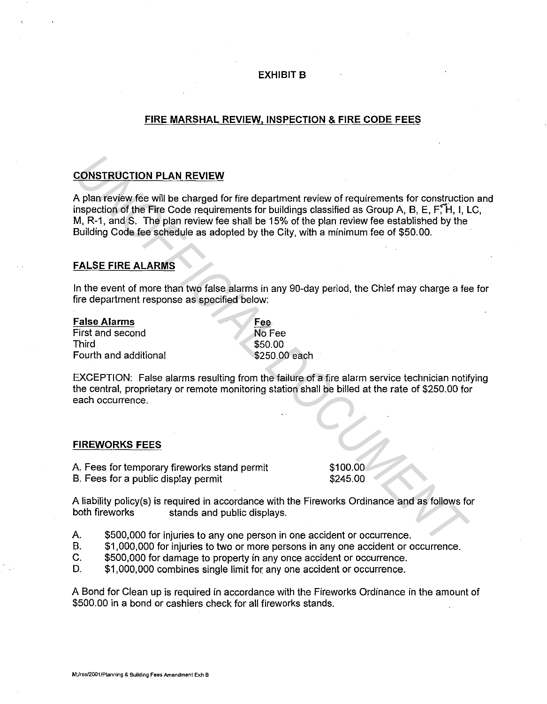### **EXHIBIT B**

### **FIRE MARSHAL REVIEW, INSPECTION & FIRE CODE FEES**

# **CONSTRUCTION PLAN REVIEW**

A plan review fee will be charged for fire department review of requirements for construction and inspection of the Fire Code requirements for buildings classified as Group A, B, E, F, H, I, LC, M, R-1, and S. The plan review fee shall be 15% of the plan review fee established by the Building Code fee schedule as adopted by the City, with a minimum fee of \$50.00. **CONSTRUCTION PLAN REVIEW**<br> **A plan review fee will be charged for fire department review of requirements for constructions<br>
In percion of the Fire Code requirements for buildings classified as Group A, B, E, F, F, H, I, M** 

### **FALSE FIRE ALARMS**

In the event of more than two false alarms in any 90-day period, the Chief may charge a fee for fire department response as specified below:

**False Alarms**  First and second **Third** Fourth and additional Fee No Fee \$50.00 \$250.00 each

EXCEPTION: False alarms resulting from the failure of a fire alarm service technician notifying the central, proprietary or remote monitoring station shall be billed at the rate of \$250.00 for each occurrence.

#### **FIREWORKS FEES**

A. Fees for temporary fireworks stand permit B. Fees for a public display permit

\$100.00 \$245.00

A liability policy(s) is required in accordance with the Fireworks Ordinance and as follows for both fireworks stands and public displays.

- A. \$500,000 for injuries to any one person in one accident or occurrence.
- B. \$1,000,000 for injuries to two or more persons in any one accident or occurrence.
- C. \$500,000 for damage to property in any once accident or occurrence.
- D. \$1,000,000 combines single limit for any one accident or occurrence.

A Bond for Clean up is required in accordance with the Fireworks Ordinance in the amount of \$500.00 in a bond or cashiers check for all fireworks stands.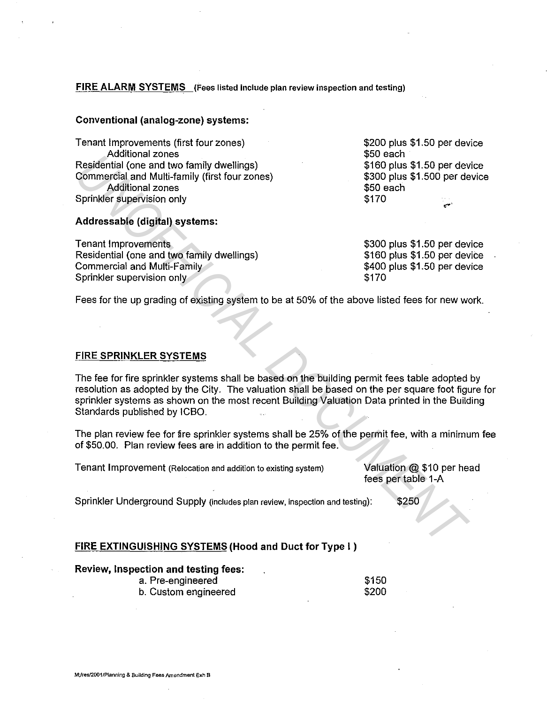### **FIRE ALARM SYSTEMS** (Fees listed include plan review inspection and testing)

#### **Conventional (analog-zone) systems:**

Tenant Improvements (first four zones) Additional zones Residential (one and two family dwellings) Commercial and Multi-family (first four zones) Additional zones Sprinkler supervision only

# **Addressable (digital) systems:**

Tenant Improvements Residential (one and two family dwellings) Commercial and Multi-Family Sprinkler supervision only

\$200 plus \$1.50 per device \$50 each \$160 plus \$1.50 per device \$300 plus \$1.500 per device \$50 each \$170

\$300 plus \$1.50 per device \$160 plus \$1.50 per device \$400 plus \$1.50 per device \$170

Fees for the up grading of existing system to be at 50% of the above listed fees for new work.

### **FIRE SPRINKLER SYSTEMS**

The fee for fire sprinkler systems shall be based on the building permit fees table adopted by resolution as adopted by the City. The valuation shall be based on the per square foot figure for sprinkler systems as shown on the most recent Building Valuation Data printed in the Building Standards published by ICBO. Fourial contains contained the method of antily dwellings)<br> **Example in Antil-Hamily** (first four zones)<br>
S160 plus \$1.50 per dev<br>
S60 plus \$1.50 per dev<br>
Addressable (digital) systems:<br>
Then throwewerents<br> **Example in the** 

The plan review fee for fire sprinkler systems shall be 25% of the permit fee, with a minimum fee of \$50.00. Plan review fees are in addition to the permit fee.

Tenant Improvement (Relocation and addition to existing system) Valuation @ \$10 per head

fees per table 1-A

Sprinkler Underground Supply (includes plan review, inspection and testing): \$250

### **FIRE EXTINGUISHING SYSTEMS (Hood and Duct for Type** I )

| Review, Inspection and testing fees: |       |  |
|--------------------------------------|-------|--|
| a. Pre-engineered                    | \$150 |  |
| b. Custom engineered                 | \$200 |  |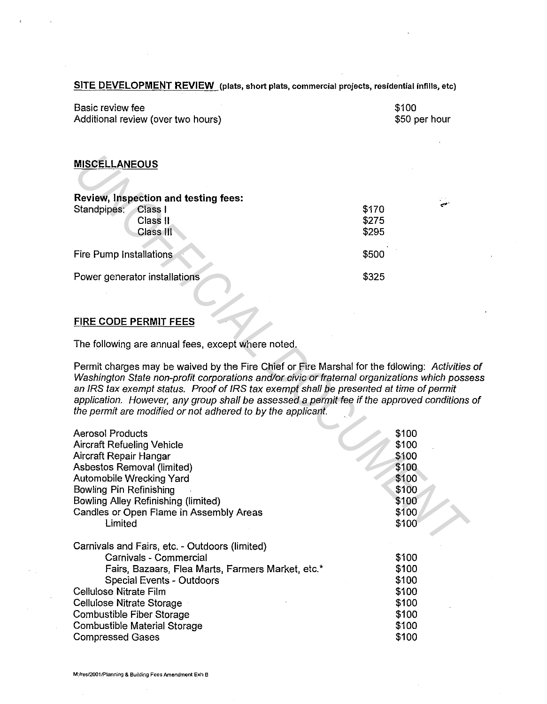| Basic review fee<br>Additional review (over two hours) | \$100<br>\$50 per hour |
|--------------------------------------------------------|------------------------|
|                                                        |                        |
| <b>MISCELLANEOUS</b>                                   |                        |

| Review, Inspection and testing fees: |       |       |
|--------------------------------------|-------|-------|
| Standpipes:<br>Class I               | \$170 | الحبي |
| Class II                             | \$275 |       |
| Class III                            | \$295 |       |
| Fire Pump Installations              | \$500 |       |
| Power generator installations        | \$325 |       |

# **FIRE CODE PERMIT FEES**

| <b>MISCELLANEOUS</b>                                                                                                                                                                                                                                                                                                                                                                                                                              |                                                                               |     |
|---------------------------------------------------------------------------------------------------------------------------------------------------------------------------------------------------------------------------------------------------------------------------------------------------------------------------------------------------------------------------------------------------------------------------------------------------|-------------------------------------------------------------------------------|-----|
| <b>Review, Inspection and testing fees:</b><br>Standpipes:<br>Class I<br>Class II<br>Class III                                                                                                                                                                                                                                                                                                                                                    | \$170<br>\$275<br>\$295                                                       | حبي |
| Fire Pump Installations                                                                                                                                                                                                                                                                                                                                                                                                                           | \$500                                                                         |     |
| Power generator installations                                                                                                                                                                                                                                                                                                                                                                                                                     | \$325                                                                         |     |
| <b>FIRE CODE PERMIT FEES</b>                                                                                                                                                                                                                                                                                                                                                                                                                      |                                                                               |     |
| The following are annual fees, except where noted.                                                                                                                                                                                                                                                                                                                                                                                                |                                                                               |     |
| Permit charges may be waived by the Fire Chief or Fire Marshal for the following: Activities<br>Washington State non-profit corporations and/or civic or fraternal organizations which poss<br>an IRS tax exempt status. Proof of IRS tax exempt shall be presented at time of permit<br>application. However, any group shall be assessed a permit fee if the approved conditions<br>the permit are modified or not adhered to by the applicant. |                                                                               |     |
| <b>Aerosol Products</b><br><b>Aircraft Refueling Vehicle</b><br>Aircraft Repair Hangar<br>Asbestos Removal (limited)<br><b>Automobile Wrecking Yard</b><br><b>Bowling Pin Refinishing</b><br>Bowling Alley Refinishing (limited)<br>Candles or Open Flame in Assembly Areas<br>Limited                                                                                                                                                            | \$100<br>\$100<br>\$100<br>\$100<br>\$100<br>\$100<br>\$100<br>\$100<br>\$100 |     |
| Carnivals and Fairs, etc. - Outdoors (limited)<br>Carnivals - Commercial<br>Fairs, Bazaars, Flea Marts, Farmers Market, etc.*<br>Special Events - Outdoors<br>Cellulose Nitrate Film<br>Cellulose Nitrate Storage<br>Combustible Fiber Storage<br><b>Combustible Material Storage</b><br><b>Compressed Gases</b>                                                                                                                                  | \$100<br>\$100<br>\$100<br>\$100<br>\$100<br>\$100<br>\$100<br>\$100          |     |

# **SITE DEVELOPMENT REVIEW** (plats, short plats, commercial projects, residential infills, etc}